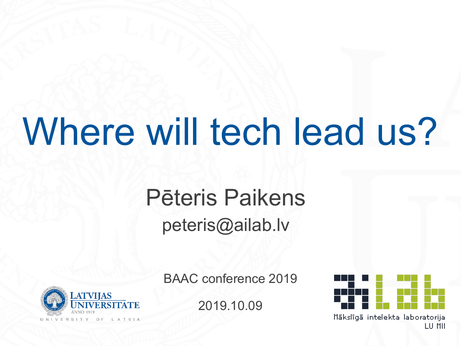# Where will tech lead us?

### Pēteris Paikens peteris@ailab.lv



BAAC conference 2019

2019.10.09



LU MII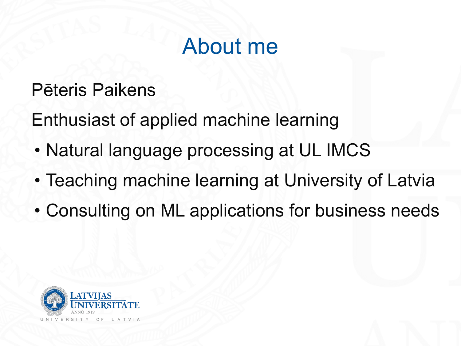### About me

#### Pēteris Paikens

Enthusiast of applied machine learning

- Natural language processing at UL IMCS
- Teaching machine learning at University of Latvia
- Consulting on ML applications for business needs

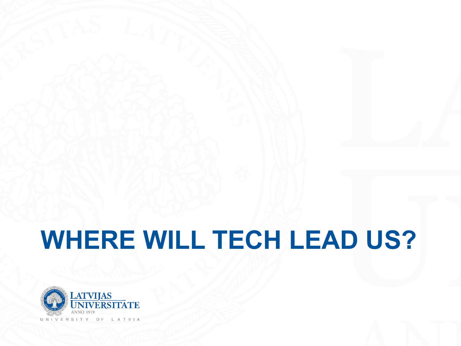## **WHERE WILL TECH LEAD US?**

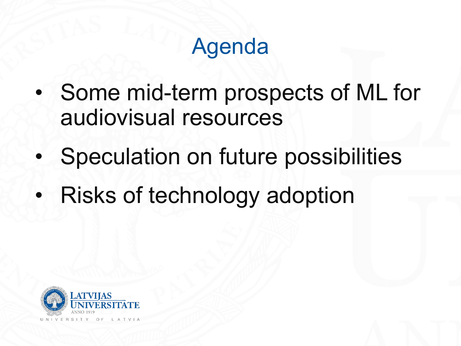### Agenda

- Some mid-term prospects of ML for audiovisual resources
- Speculation on future possibilities
- Risks of technology adoption

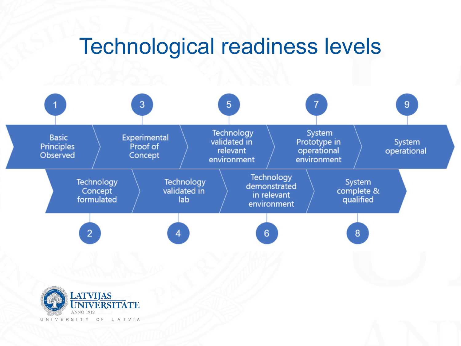### Technological readiness levels

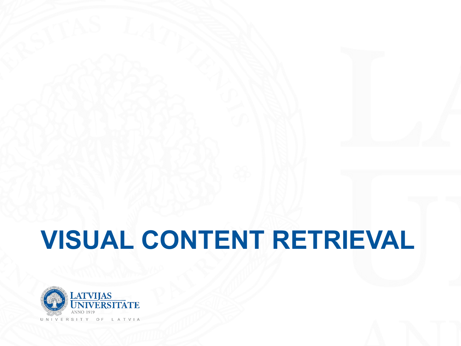## **VISUAL CONTENT RETRIEVAL**

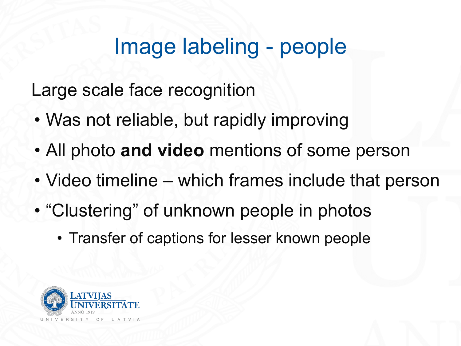### Image labeling - people

Large scale face recognition

- Was not reliable, but rapidly improving
- All photo **and video** mentions of some person
- Video timeline which frames include that person
- "Clustering" of unknown people in photos
	- Transfer of captions for lesser known people

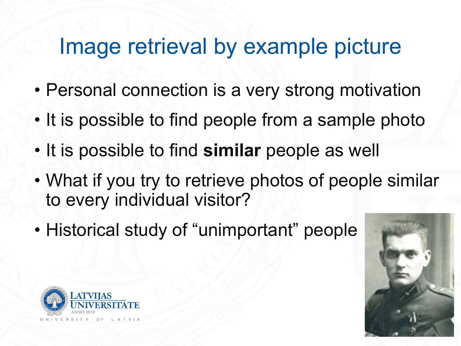### Image retrieval by example picture

- Personal connection is a very strong motivation
- It is possible to find people from a sample photo
- It is possible to find **similar** people as well
- What if you try to retrieve photos of people similar to every individual visitor?
- Historical study of "unimportant" people



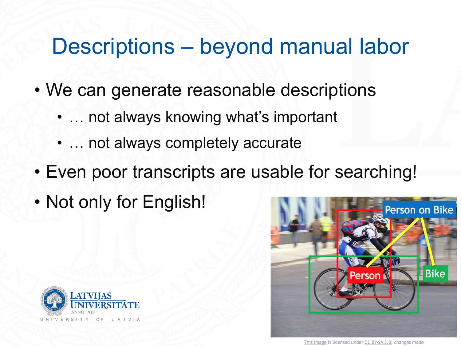### Descriptions – beyond manual labor

- We can generate reasonable descriptions
	- ... not always knowing what's important
	- … not always completely accurate
- Even poor transcripts are usable for searching!
- Not only for English!



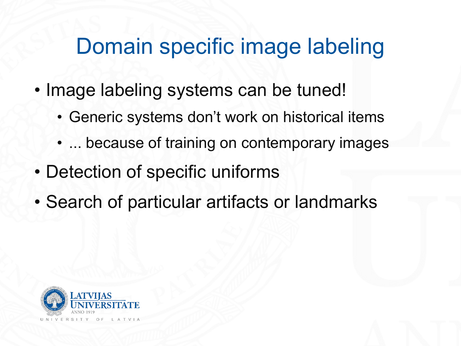### Domain specific image labeling

- Image labeling systems can be tuned!
	- Generic systems don't work on historical items
	- ... because of training on contemporary images
- Detection of specific uniforms
- Search of particular artifacts or landmarks

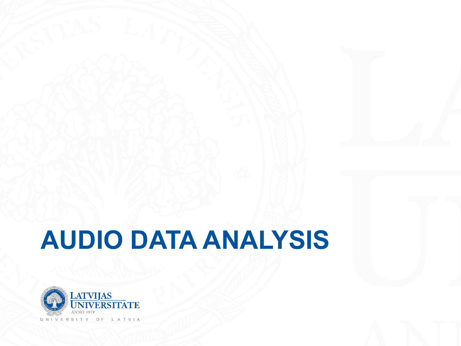### **AUDIO DATA ANALYSIS**

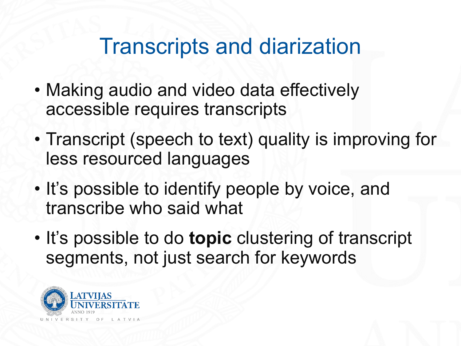#### Transcripts and diarization

- Making audio and video data effectively accessible requires transcripts
- Transcript (speech to text) quality is improving for less resourced languages
- It's possible to identify people by voice, and transcribe who said what
- It's possible to do **topic** clustering of transcript segments, not just search for keywords

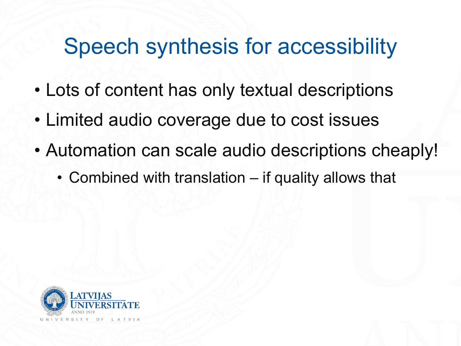### Speech synthesis for accessibility

- Lots of content has only textual descriptions
- Limited audio coverage due to cost issues
- Automation can scale audio descriptions cheaply!
	- Combined with translation if quality allows that

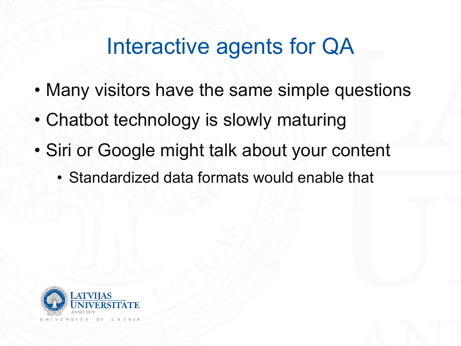### Interactive agents for QA

- Many visitors have the same simple questions
- Chatbot technology is slowly maturing
- Siri or Google might talk about your content
	- Standardized data formats would enable that

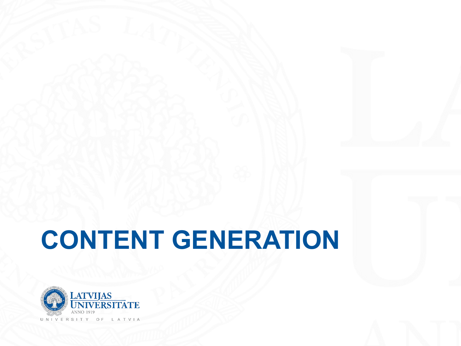## **CONTENT GENERATION**

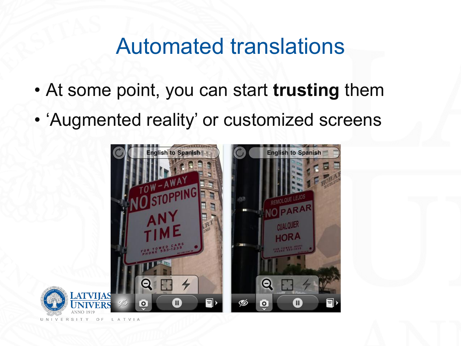#### Automated translations

- At some point, you can start **trusting** them
- 'Augmented reality' or customized screens

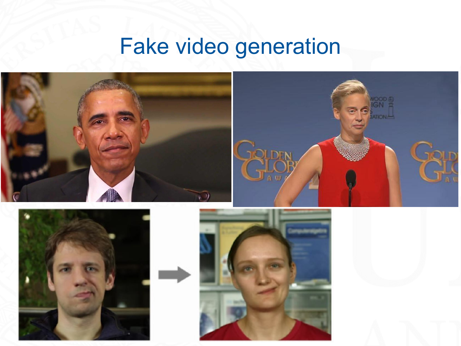### Fake video generation





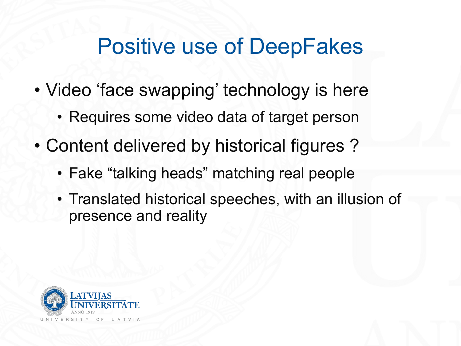### Positive use of DeepFakes

- Video 'face swapping' technology is here
	- Requires some video data of target person
- Content delivered by historical figures ?
	- Fake "talking heads" matching real people
	- Translated historical speeches, with an illusion of presence and reality

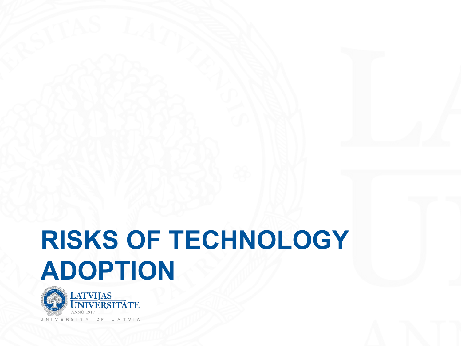## **RISKS OF TECHNOLOGY ADOPTION**

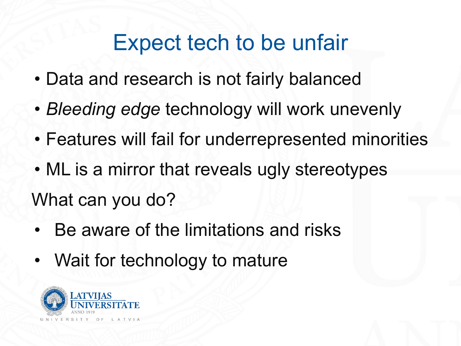### Expect tech to be unfair

- Data and research is not fairly balanced
- *• Bleeding edge* technology will work unevenly
- Features will fail for underrepresented minorities
- ML is a mirror that reveals ugly stereotypes What can you do?
- Be aware of the limitations and risks
- Wait for technology to mature

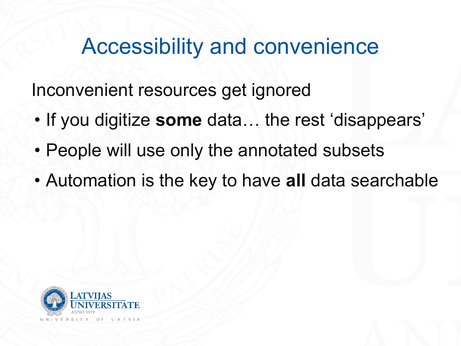#### Accessibility and convenience

Inconvenient resources get ignored

- If you digitize **some** data… the rest 'disappears'
- People will use only the annotated subsets
- Automation is the key to have **all** data searchable

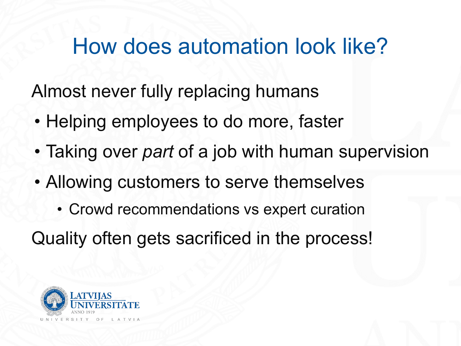### How does automation look like?

Almost never fully replacing humans

- Helping employees to do more, faster
- Taking over *part* of a job with human supervision
- Allowing customers to serve themselves
	- Crowd recommendations vs expert curation

Quality often gets sacrificed in the process!

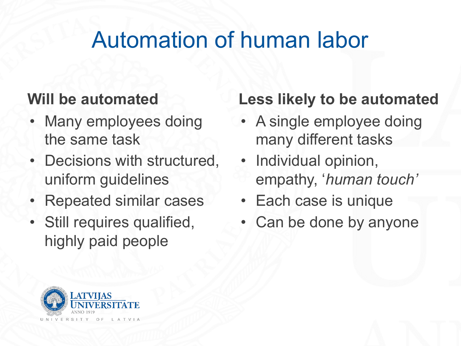### Automation of human labor

#### **Will be automated**

- Many employees doing the same task
- Decisions with structured, uniform guidelines
- Repeated similar cases
- Still requires qualified, highly paid people

#### **Less likely to be automated**

- A single employee doing many different tasks
- Individual opinion, empathy, '*human touch'*
- Each case is unique
- Can be done by anyone